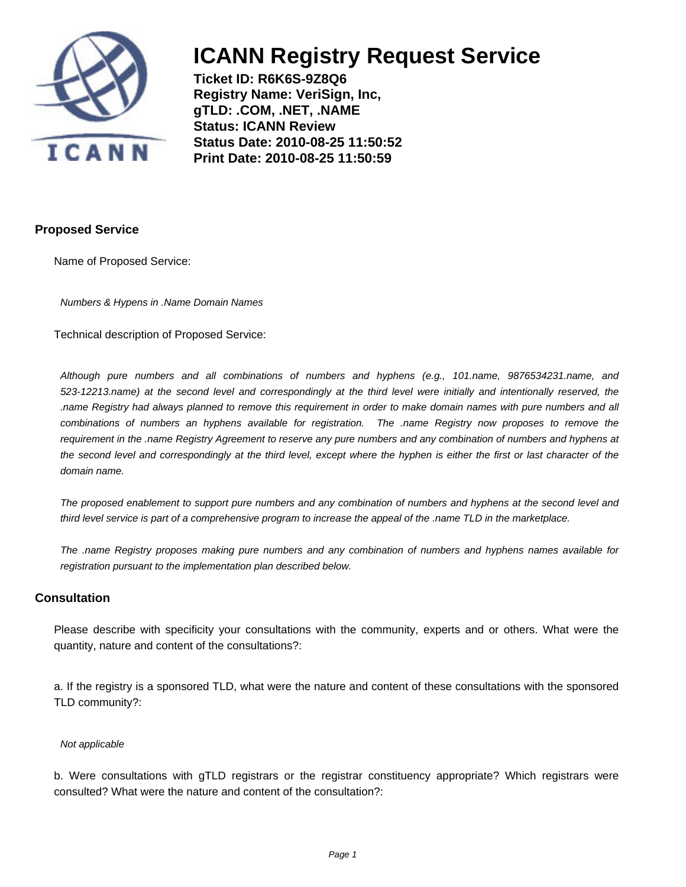

**Ticket ID: R6K6S-9Z8Q6 Registry Name: VeriSign, Inc, gTLD: .COM, .NET, .NAME Status: ICANN Review Status Date: 2010-08-25 11:50:52 Print Date: 2010-08-25 11:50:59**

### **Proposed Service**

Name of Proposed Service:

Numbers & Hypens in .Name Domain Names

Technical description of Proposed Service:

Although pure numbers and all combinations of numbers and hyphens (e.g., 101.name, 9876534231.name, and 523-12213.name) at the second level and correspondingly at the third level were initially and intentionally reserved, the .name Registry had always planned to remove this requirement in order to make domain names with pure numbers and all combinations of numbers an hyphens available for registration. The .name Registry now proposes to remove the requirement in the .name Registry Agreement to reserve any pure numbers and any combination of numbers and hyphens at the second level and correspondingly at the third level, except where the hyphen is either the first or last character of the domain name.

The proposed enablement to support pure numbers and any combination of numbers and hyphens at the second level and third level service is part of a comprehensive program to increase the appeal of the .name TLD in the marketplace.

The .name Registry proposes making pure numbers and any combination of numbers and hyphens names available for registration pursuant to the implementation plan described below.

#### **Consultation**

Please describe with specificity your consultations with the community, experts and or others. What were the quantity, nature and content of the consultations?:

a. If the registry is a sponsored TLD, what were the nature and content of these consultations with the sponsored TLD community?:

#### Not applicable

b. Were consultations with gTLD registrars or the registrar constituency appropriate? Which registrars were consulted? What were the nature and content of the consultation?: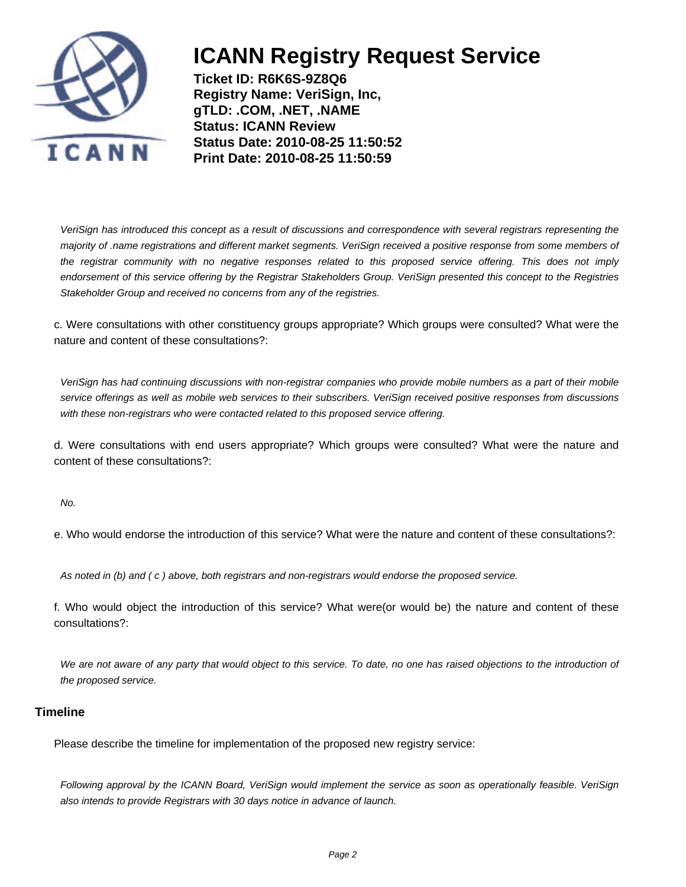

**Ticket ID: R6K6S-9Z8Q6 Registry Name: VeriSign, Inc, gTLD: .COM, .NET, .NAME Status: ICANN Review Status Date: 2010-08-25 11:50:52 Print Date: 2010-08-25 11:50:59**

VeriSign has introduced this concept as a result of discussions and correspondence with several registrars representing the majority of .name registrations and different market segments. VeriSign received a positive response from some members of the registrar community with no negative responses related to this proposed service offering. This does not imply endorsement of this service offering by the Registrar Stakeholders Group. VeriSign presented this concept to the Registries Stakeholder Group and received no concerns from any of the registries.

c. Were consultations with other constituency groups appropriate? Which groups were consulted? What were the nature and content of these consultations?:

VeriSign has had continuing discussions with non-registrar companies who provide mobile numbers as a part of their mobile service offerings as well as mobile web services to their subscribers. VeriSign received positive responses from discussions with these non-registrars who were contacted related to this proposed service offering.

d. Were consultations with end users appropriate? Which groups were consulted? What were the nature and content of these consultations?:

No.

e. Who would endorse the introduction of this service? What were the nature and content of these consultations?:

As noted in (b) and ( c ) above, both registrars and non-registrars would endorse the proposed service.

f. Who would object the introduction of this service? What were(or would be) the nature and content of these consultations?:

We are not aware of any party that would object to this service. To date, no one has raised objections to the introduction of the proposed service.

#### **Timeline**

Please describe the timeline for implementation of the proposed new registry service:

Following approval by the ICANN Board, VeriSign would implement the service as soon as operationally feasible. VeriSign also intends to provide Registrars with 30 days notice in advance of launch.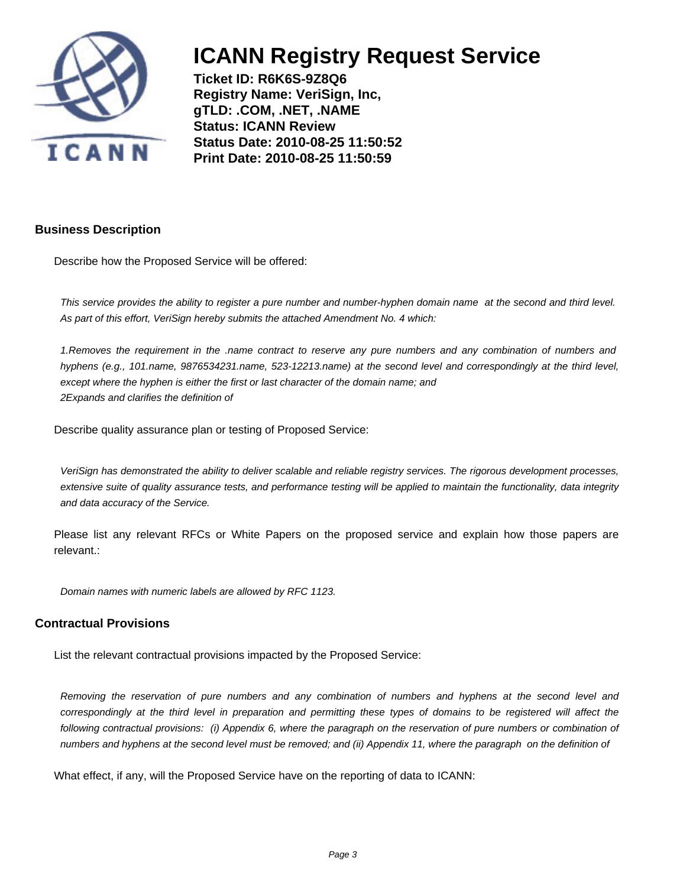

**Ticket ID: R6K6S-9Z8Q6 Registry Name: VeriSign, Inc, gTLD: .COM, .NET, .NAME Status: ICANN Review Status Date: 2010-08-25 11:50:52 Print Date: 2010-08-25 11:50:59**

### **Business Description**

Describe how the Proposed Service will be offered:

This service provides the ability to register a pure number and number-hyphen domain name at the second and third level. As part of this effort, VeriSign hereby submits the attached Amendment No. 4 which:

1. Removes the requirement in the .name contract to reserve any pure numbers and any combination of numbers and hyphens (e.g., 101.name, 9876534231.name, 523-12213.name) at the second level and correspondingly at the third level, except where the hyphen is either the first or last character of the domain name; and 2 Expands and clarifies the definition of

Describe quality assurance plan or testing of Proposed Service:

VeriSign has demonstrated the ability to deliver scalable and reliable registry services. The rigorous development processes, extensive suite of quality assurance tests, and performance testing will be applied to maintain the functionality, data integrity and data accuracy of the Service.

Please list any relevant RFCs or White Papers on the proposed service and explain how those papers are relevant.:

Domain names with numeric labels are allowed by RFC 1123.

#### **Contractual Provisions**

List the relevant contractual provisions impacted by the Proposed Service:

Removing the reservation of pure numbers and any combination of numbers and hyphens at the second level and correspondingly at the third level in preparation and permitting these types of domains to be registered will affect the following contractual provisions: (i) Appendix 6, where the paragraph on the reservation of pure numbers or combination of numbers and hyphens at the second level must be removed; and (ii) Appendix 11, where the paragraph on the definition of

What effect, if any, will the Proposed Service have on the reporting of data to ICANN: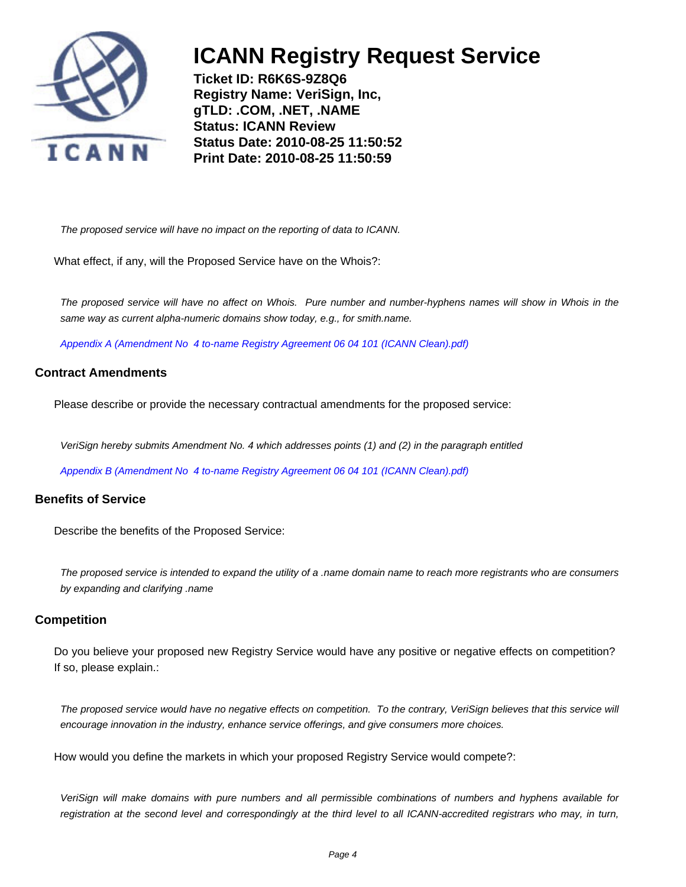

**Ticket ID: R6K6S-9Z8Q6 Registry Name: VeriSign, Inc, gTLD: .COM, .NET, .NAME Status: ICANN Review Status Date: 2010-08-25 11:50:52 Print Date: 2010-08-25 11:50:59**

The proposed service will have no impact on the reporting of data to ICANN.

What effect, if any, will the Proposed Service have on the Whois?:

The proposed service will have no affect on Whois. Pure number and number-hyphens names will show in Whois in the same way as current alpha-numeric domains show today, e.g., for smith.name.

[Appendix A \(Amendment No 4 to-name Registry Agreement 06 04 101 \(ICANN Clean\).pdf\)](#page-7-0)

### **Contract Amendments**

Please describe or provide the necessary contractual amendments for the proposed service:

VeriSign hereby submits Amendment No. 4 which addresses points (1) and (2) in the paragraph entitled

[Appendix B \(Amendment No 4 to-name Registry Agreement 06 04 101 \(ICANN Clean\).pdf\)](#page-10-0)

#### **Benefits of Service**

Describe the benefits of the Proposed Service:

The proposed service is intended to expand the utility of a .name domain name to reach more registrants who are consumers by expanding and clarifying .name

#### **Competition**

Do you believe your proposed new Registry Service would have any positive or negative effects on competition? If so, please explain.:

The proposed service would have no negative effects on competition. To the contrary, VeriSign believes that this service will encourage innovation in the industry, enhance service offerings, and give consumers more choices.

How would you define the markets in which your proposed Registry Service would compete?:

VeriSign will make domains with pure numbers and all permissible combinations of numbers and hyphens available for registration at the second level and correspondingly at the third level to all ICANN-accredited registrars who may, in turn,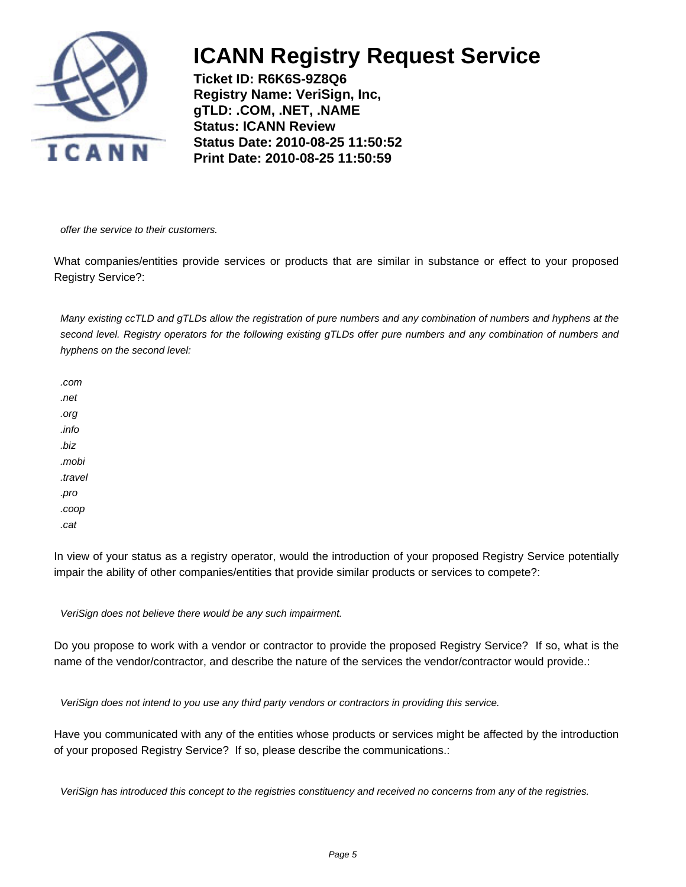

**Ticket ID: R6K6S-9Z8Q6 Registry Name: VeriSign, Inc, gTLD: .COM, .NET, .NAME Status: ICANN Review Status Date: 2010-08-25 11:50:52 Print Date: 2010-08-25 11:50:59**

offer the service to their customers.

What companies/entities provide services or products that are similar in substance or effect to your proposed Registry Service?:

Many existing ccTLD and gTLDs allow the registration of pure numbers and any combination of numbers and hyphens at the second level. Registry operators for the following existing gTLDs offer pure numbers and any combination of numbers and hyphens on the second level:

.com .net .org .info .biz .mobi .travel .pro .coop .cat

In view of your status as a registry operator, would the introduction of your proposed Registry Service potentially impair the ability of other companies/entities that provide similar products or services to compete?:

VeriSign does not believe there would be any such impairment.

Do you propose to work with a vendor or contractor to provide the proposed Registry Service? If so, what is the name of the vendor/contractor, and describe the nature of the services the vendor/contractor would provide.:

VeriSign does not intend to you use any third party vendors or contractors in providing this service.

Have you communicated with any of the entities whose products or services might be affected by the introduction of your proposed Registry Service? If so, please describe the communications.:

VeriSign has introduced this concept to the registries constituency and received no concerns from any of the registries.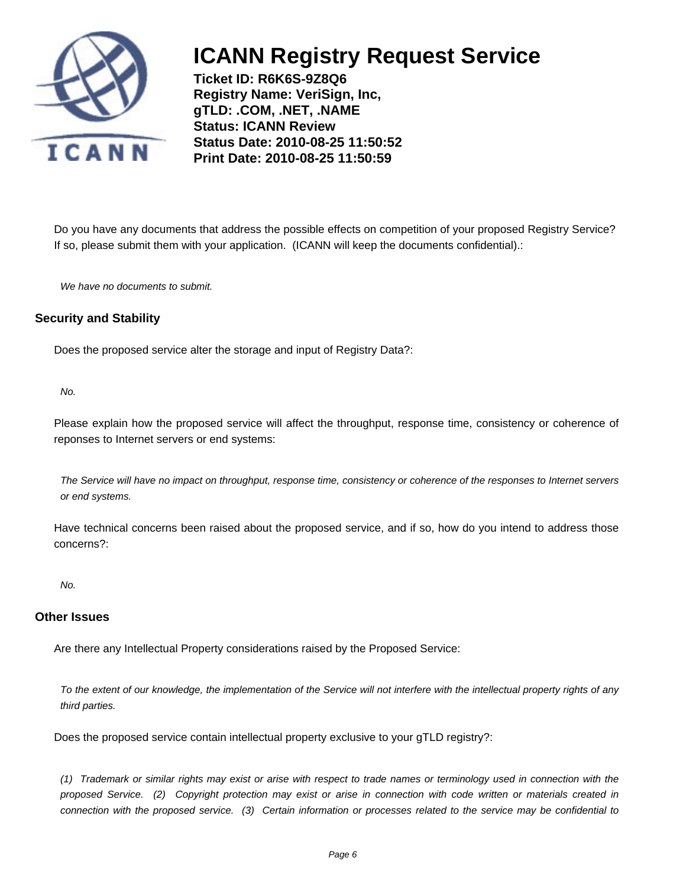

**Ticket ID: R6K6S-9Z8Q6 Registry Name: VeriSign, Inc, gTLD: .COM, .NET, .NAME Status: ICANN Review Status Date: 2010-08-25 11:50:52 Print Date: 2010-08-25 11:50:59**

Do you have any documents that address the possible effects on competition of your proposed Registry Service? If so, please submit them with your application. (ICANN will keep the documents confidential).:

We have no documents to submit.

### **Security and Stability**

Does the proposed service alter the storage and input of Registry Data?:

No.

Please explain how the proposed service will affect the throughput, response time, consistency or coherence of reponses to Internet servers or end systems:

The Service will have no impact on throughput, response time, consistency or coherence of the responses to Internet servers or end systems.

Have technical concerns been raised about the proposed service, and if so, how do you intend to address those concerns?:

No.

#### **Other Issues**

Are there any Intellectual Property considerations raised by the Proposed Service:

To the extent of our knowledge, the implementation of the Service will not interfere with the intellectual property rights of any third parties.

Does the proposed service contain intellectual property exclusive to your gTLD registry?:

(1) Trademark or similar rights may exist or arise with respect to trade names or terminology used in connection with the proposed Service. (2) Copyright protection may exist or arise in connection with code written or materials created in connection with the proposed service. (3) Certain information or processes related to the service may be confidential to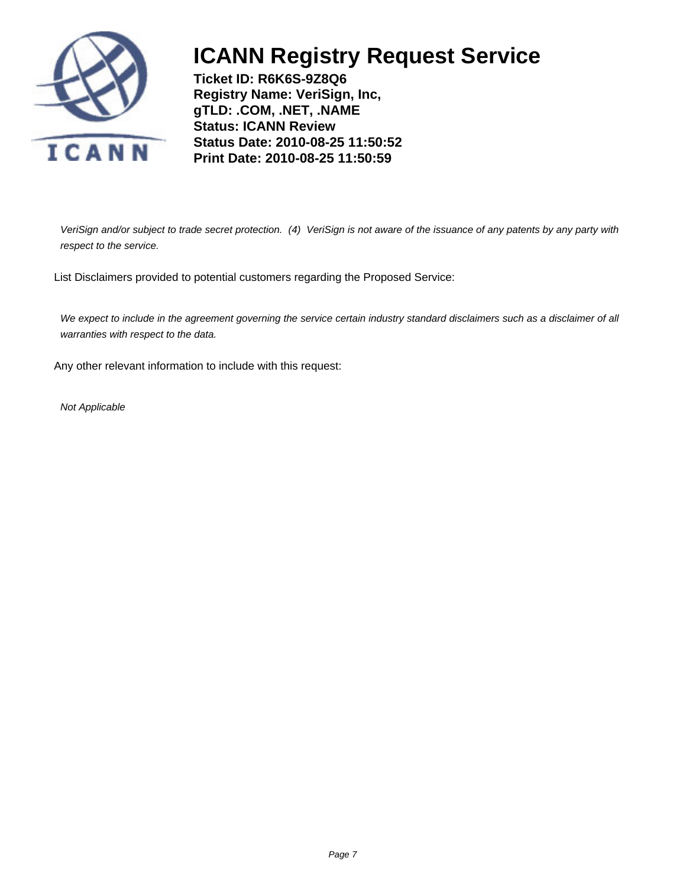

**Ticket ID: R6K6S-9Z8Q6 Registry Name: VeriSign, Inc, gTLD: .COM, .NET, .NAME Status: ICANN Review Status Date: 2010-08-25 11:50:52 Print Date: 2010-08-25 11:50:59**

VeriSign and/or subject to trade secret protection. (4) VeriSign is not aware of the issuance of any patents by any party with respect to the service.

List Disclaimers provided to potential customers regarding the Proposed Service:

We expect to include in the agreement governing the service certain industry standard disclaimers such as a disclaimer of all warranties with respect to the data.

Any other relevant information to include with this request:

Not Applicable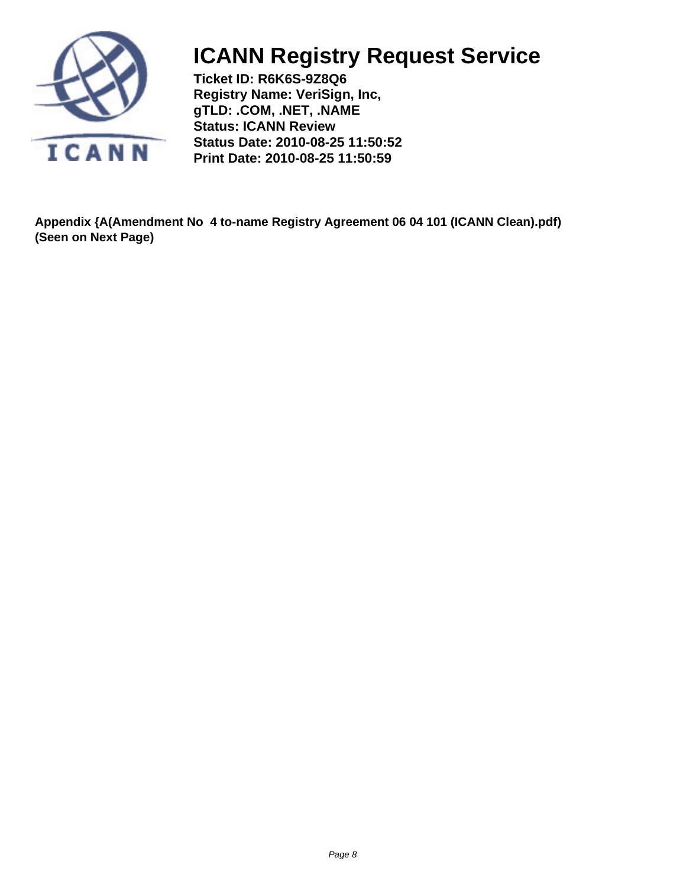<span id="page-7-0"></span>

**Ticket ID: R6K6S-9Z8Q6 Registry Name: VeriSign, Inc, gTLD: .COM, .NET, .NAME Status: ICANN Review Status Date: 2010-08-25 11:50:52 Print Date: 2010-08-25 11:50:59**

**Appendix {A(Amendment No 4 to-name Registry Agreement 06 04 101 (ICANN Clean).pdf) (Seen on Next Page)**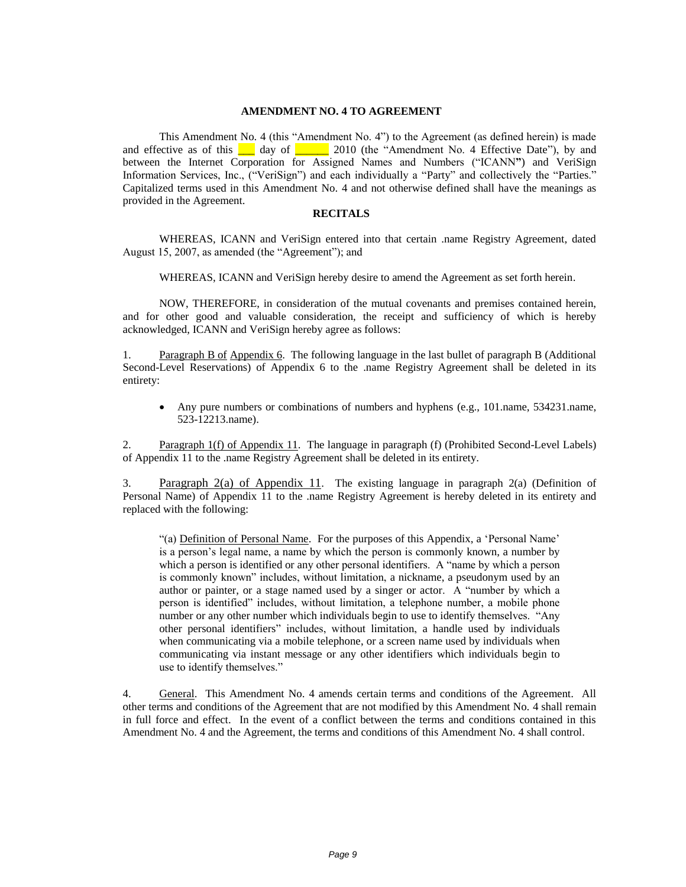#### **AMENDMENT NO. 4 TO AGREEMENT**

This Amendment No. 4 (this "Amendment No. 4") to the Agreement (as defined herein) is made and effective as of this  $\Box$  day of  $\Box$  2010 (the "Amendment No. 4 Effective Date"), by and between the Internet Corporation for Assigned Names and Numbers ("ICANN") and VeriSign Information Services, Inc., ("VeriSign") and each individually a "Party" and collectively the "Parties." Capitalized terms used in this Amendment No. 4 and not otherwise defined shall have the meanings as provided in the Agreement.

#### **RECITALS**

WHEREAS, ICANN and VeriSign entered into that certain .name Registry Agreement, dated August 15, 2007, as amended (the "Agreement"); and

WHEREAS, ICANN and VeriSign hereby desire to amend the Agreement as set forth herein.

NOW, THEREFORE, in consideration of the mutual covenants and premises contained herein, and for other good and valuable consideration, the receipt and sufficiency of which is hereby acknowledged, ICANN and VeriSign hereby agree as follows:

1. Paragraph B of Appendix 6. The following language in the last bullet of paragraph B (Additional Second-Level Reservations) of Appendix 6 to the .name Registry Agreement shall be deleted in its entirety:

 Any pure numbers or combinations of numbers and hyphens (e.g., 101.name, 534231.name, 523-12213.name).

2. Paragraph 1(f) of Appendix 11. The language in paragraph (f) (Prohibited Second-Level Labels) of Appendix 11 to the .name Registry Agreement shall be deleted in its entirety.

3. Paragraph 2(a) of Appendix 11. The existing language in paragraph 2(a) (Definition of Personal Name) of Appendix 11 to the .name Registry Agreement is hereby deleted in its entirety and replaced with the following:

"(a) Definition of Personal Name. For the purposes of this Appendix, a "Personal Name" is a person"s legal name, a name by which the person is commonly known, a number by which a person is identified or any other personal identifiers. A "name by which a person is commonly known" includes, without limitation, a nickname, a pseudonym used by an author or painter, or a stage named used by a singer or actor. A "number by which a person is identified" includes, without limitation, a telephone number, a mobile phone number or any other number which individuals begin to use to identify themselves. "Any other personal identifiers" includes, without limitation, a handle used by individuals when communicating via a mobile telephone, or a screen name used by individuals when communicating via instant message or any other identifiers which individuals begin to use to identify themselves."

4. General. This Amendment No. 4 amends certain terms and conditions of the Agreement. All other terms and conditions of the Agreement that are not modified by this Amendment No. 4 shall remain in full force and effect. In the event of a conflict between the terms and conditions contained in this Amendment No. 4 and the Agreement, the terms and conditions of this Amendment No. 4 shall control.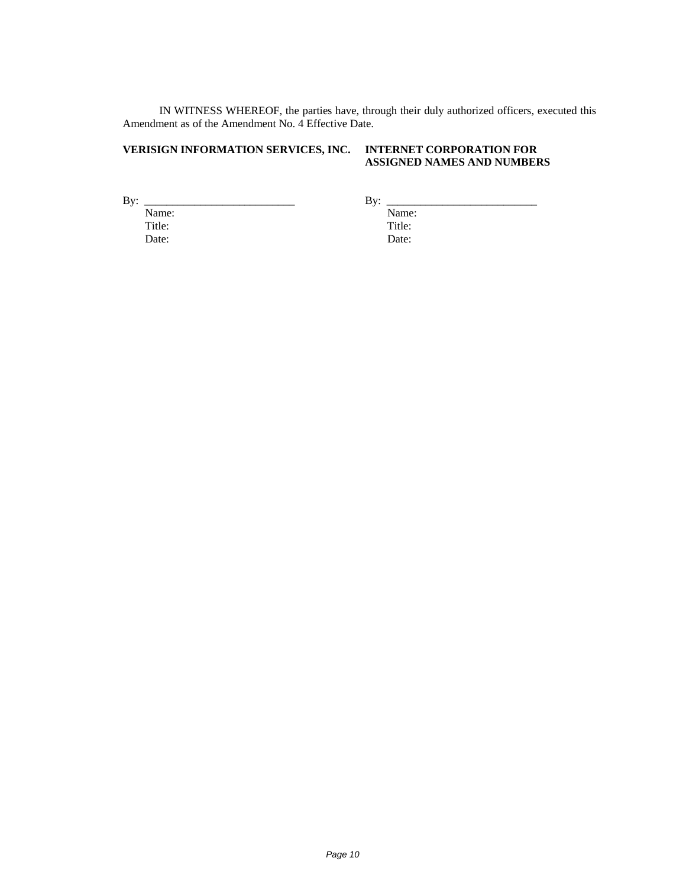IN WITNESS WHEREOF, the parties have, through their duly authorized officers, executed this Amendment as of the Amendment No. 4 Effective Date.

### **VERISIGN INFORMATION SERVICES, INC. INTERNET CORPORATION FOR**

### **ASSIGNED NAMES AND NUMBERS**

 $By:$  Name: Title: Date:

By: Name: Title: Date: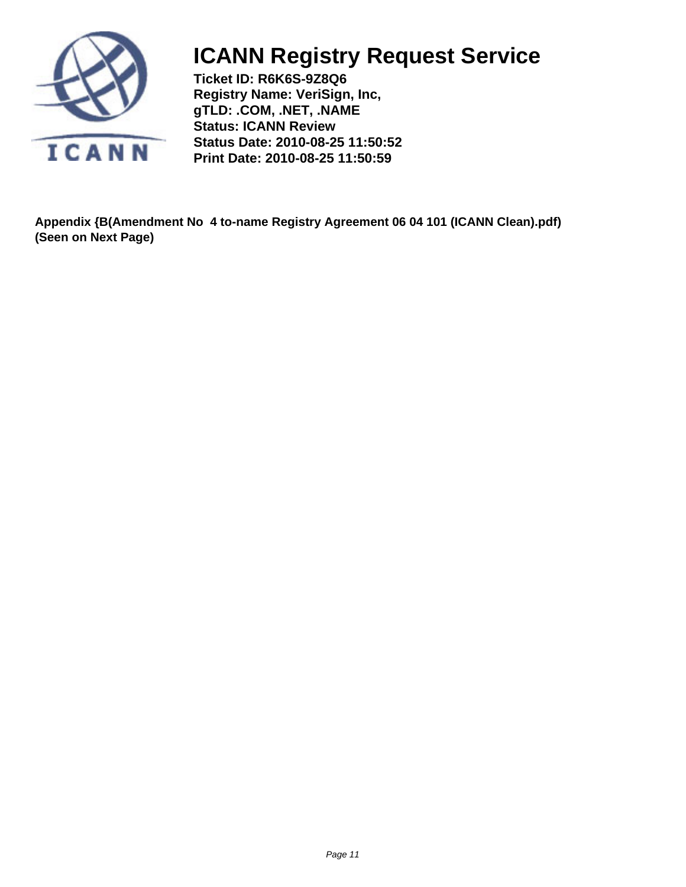<span id="page-10-0"></span>

**Ticket ID: R6K6S-9Z8Q6 Registry Name: VeriSign, Inc, gTLD: .COM, .NET, .NAME Status: ICANN Review Status Date: 2010-08-25 11:50:52 Print Date: 2010-08-25 11:50:59**

**Appendix {B(Amendment No 4 to-name Registry Agreement 06 04 101 (ICANN Clean).pdf) (Seen on Next Page)**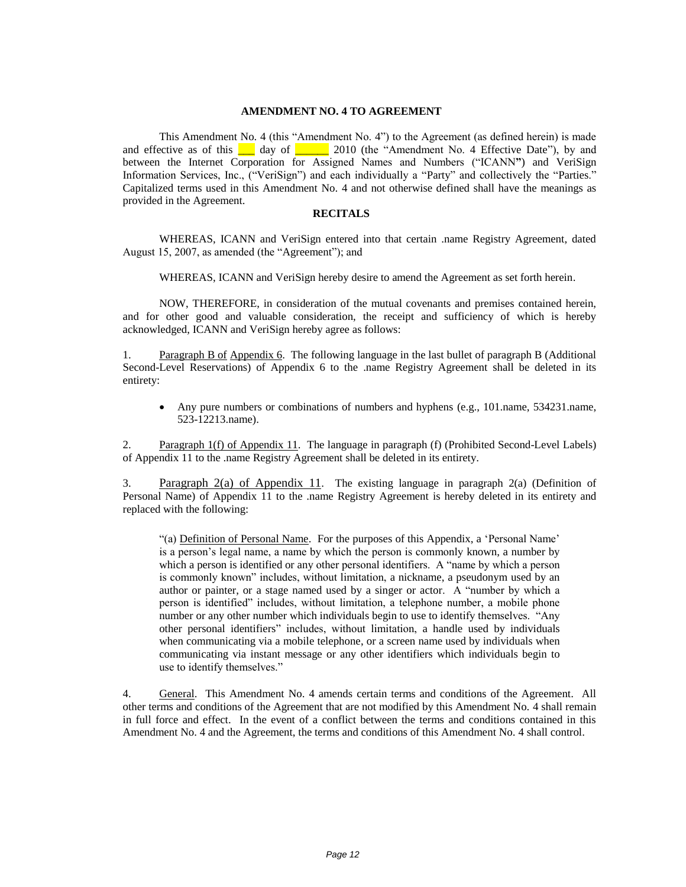#### **AMENDMENT NO. 4 TO AGREEMENT**

This Amendment No. 4 (this "Amendment No. 4") to the Agreement (as defined herein) is made and effective as of this  $\Box$  day of  $\Box$  2010 (the "Amendment No. 4 Effective Date"), by and between the Internet Corporation for Assigned Names and Numbers ("ICANN**"**) and VeriSign Information Services, Inc., ("VeriSign") and each individually a "Party" and collectively the "Parties." Capitalized terms used in this Amendment No. 4 and not otherwise defined shall have the meanings as provided in the Agreement.

#### **RECITALS**

WHEREAS, ICANN and VeriSign entered into that certain .name Registry Agreement, dated August 15, 2007, as amended (the "Agreement"); and

WHEREAS, ICANN and VeriSign hereby desire to amend the Agreement as set forth herein.

NOW, THEREFORE, in consideration of the mutual covenants and premises contained herein, and for other good and valuable consideration, the receipt and sufficiency of which is hereby acknowledged, ICANN and VeriSign hereby agree as follows:

1. Paragraph B of Appendix 6. The following language in the last bullet of paragraph B (Additional Second-Level Reservations) of Appendix 6 to the .name Registry Agreement shall be deleted in its entirety:

 Any pure numbers or combinations of numbers and hyphens (e.g., 101.name, 534231.name, 523-12213.name).

2. Paragraph 1(f) of Appendix 11. The language in paragraph (f) (Prohibited Second-Level Labels) of Appendix 11 to the .name Registry Agreement shall be deleted in its entirety.

3. Paragraph 2(a) of Appendix 11. The existing language in paragraph 2(a) (Definition of Personal Name) of Appendix 11 to the .name Registry Agreement is hereby deleted in its entirety and replaced with the following:

"(a) Definition of Personal Name. For the purposes of this Appendix, a "Personal Name" is a person"s legal name, a name by which the person is commonly known, a number by which a person is identified or any other personal identifiers. A "name by which a person is commonly known" includes, without limitation, a nickname, a pseudonym used by an author or painter, or a stage named used by a singer or actor. A "number by which a person is identified" includes, without limitation, a telephone number, a mobile phone number or any other number which individuals begin to use to identify themselves. "Any other personal identifiers" includes, without limitation, a handle used by individuals when communicating via a mobile telephone, or a screen name used by individuals when communicating via instant message or any other identifiers which individuals begin to use to identify themselves."

4. General. This Amendment No. 4 amends certain terms and conditions of the Agreement. All other terms and conditions of the Agreement that are not modified by this Amendment No. 4 shall remain in full force and effect. In the event of a conflict between the terms and conditions contained in this Amendment No. 4 and the Agreement, the terms and conditions of this Amendment No. 4 shall control.